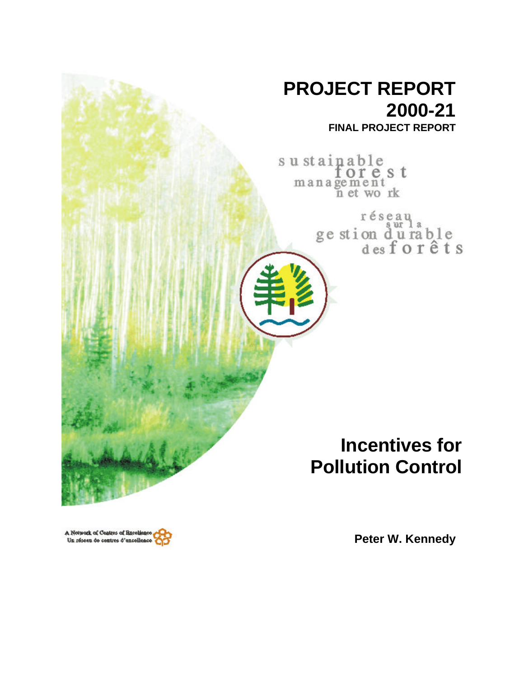

A Network of Centres of Excellence Un réseau de centres d'excellence

**Peter W. Kennedy**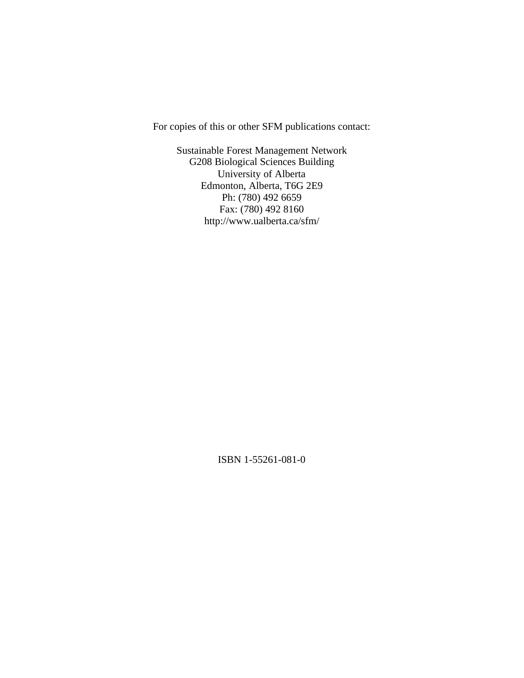For copies of this or other SFM publications contact:

Sustainable Forest Management Network G208 Biological Sciences Building University of Alberta Edmonton, Alberta, T6G 2E9 Ph: (780) 492 6659 Fax: (780) 492 8160 http://www.ualberta.ca/sfm/

ISBN 1-55261-081-0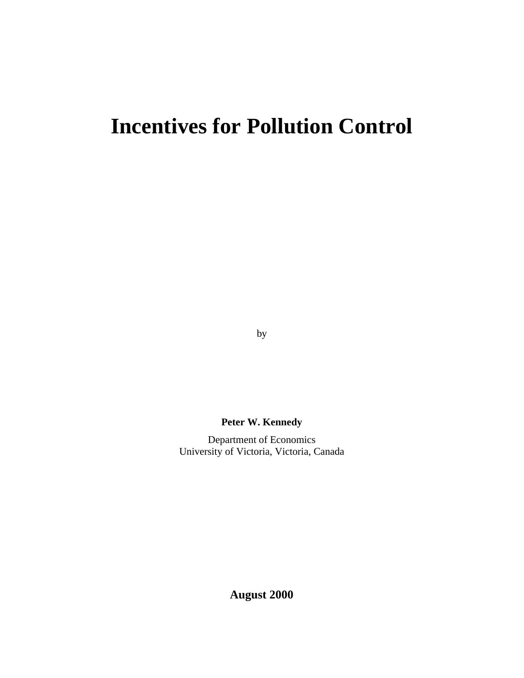# **Incentives for Pollution Control**

by

**Peter W. Kennedy**

Department of Economics University of Victoria, Victoria, Canada

**August 2000**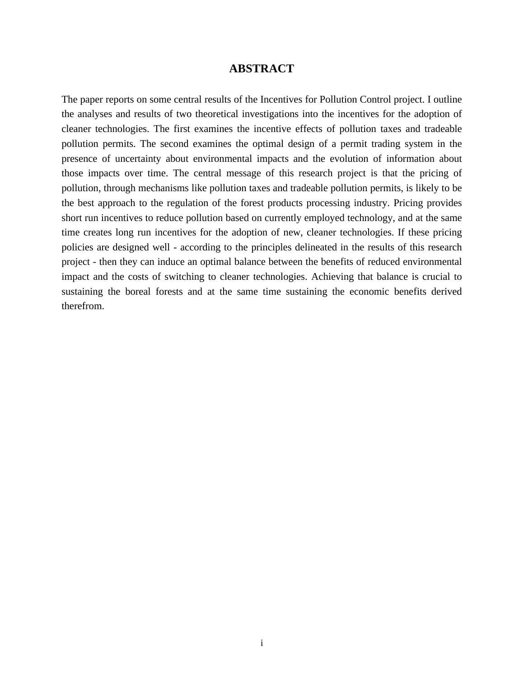## **ABSTRACT**

The paper reports on some central results of the Incentives for Pollution Control project. I outline the analyses and results of two theoretical investigations into the incentives for the adoption of cleaner technologies. The first examines the incentive effects of pollution taxes and tradeable pollution permits. The second examines the optimal design of a permit trading system in the presence of uncertainty about environmental impacts and the evolution of information about those impacts over time. The central message of this research project is that the pricing of pollution, through mechanisms like pollution taxes and tradeable pollution permits, is likely to be the best approach to the regulation of the forest products processing industry. Pricing provides short run incentives to reduce pollution based on currently employed technology, and at the same time creates long run incentives for the adoption of new, cleaner technologies. If these pricing policies are designed well - according to the principles delineated in the results of this research project - then they can induce an optimal balance between the benefits of reduced environmental impact and the costs of switching to cleaner technologies. Achieving that balance is crucial to sustaining the boreal forests and at the same time sustaining the economic benefits derived therefrom.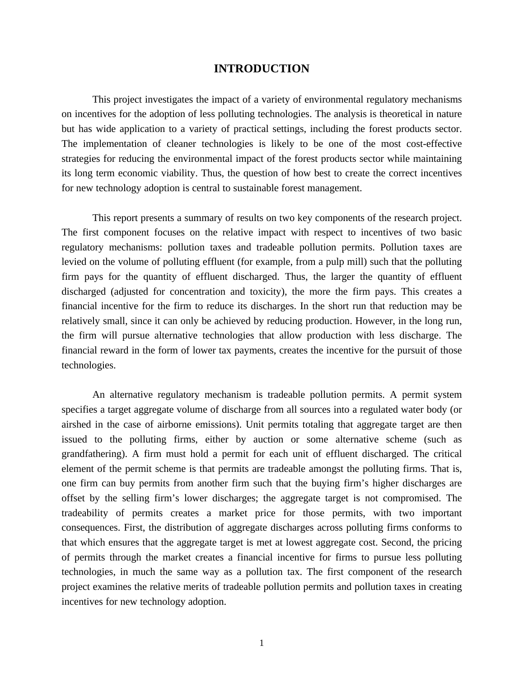## **INTRODUCTION**

This project investigates the impact of a variety of environmental regulatory mechanisms on incentives for the adoption of less polluting technologies. The analysis is theoretical in nature but has wide application to a variety of practical settings, including the forest products sector. The implementation of cleaner technologies is likely to be one of the most cost-effective strategies for reducing the environmental impact of the forest products sector while maintaining its long term economic viability. Thus, the question of how best to create the correct incentives for new technology adoption is central to sustainable forest management.

This report presents a summary of results on two key components of the research project. The first component focuses on the relative impact with respect to incentives of two basic regulatory mechanisms: pollution taxes and tradeable pollution permits. Pollution taxes are levied on the volume of polluting effluent (for example, from a pulp mill) such that the polluting firm pays for the quantity of effluent discharged. Thus, the larger the quantity of effluent discharged (adjusted for concentration and toxicity), the more the firm pays. This creates a financial incentive for the firm to reduce its discharges. In the short run that reduction may be relatively small, since it can only be achieved by reducing production. However, in the long run, the firm will pursue alternative technologies that allow production with less discharge. The financial reward in the form of lower tax payments, creates the incentive for the pursuit of those technologies.

An alternative regulatory mechanism is tradeable pollution permits. A permit system specifies a target aggregate volume of discharge from all sources into a regulated water body (or airshed in the case of airborne emissions). Unit permits totaling that aggregate target are then issued to the polluting firms, either by auction or some alternative scheme (such as grandfathering). A firm must hold a permit for each unit of effluent discharged. The critical element of the permit scheme is that permits are tradeable amongst the polluting firms. That is, one firm can buy permits from another firm such that the buying firm's higher discharges are offset by the selling firm's lower discharges; the aggregate target is not compromised. The tradeability of permits creates a market price for those permits, with two important consequences. First, the distribution of aggregate discharges across polluting firms conforms to that which ensures that the aggregate target is met at lowest aggregate cost. Second, the pricing of permits through the market creates a financial incentive for firms to pursue less polluting technologies, in much the same way as a pollution tax. The first component of the research project examines the relative merits of tradeable pollution permits and pollution taxes in creating incentives for new technology adoption.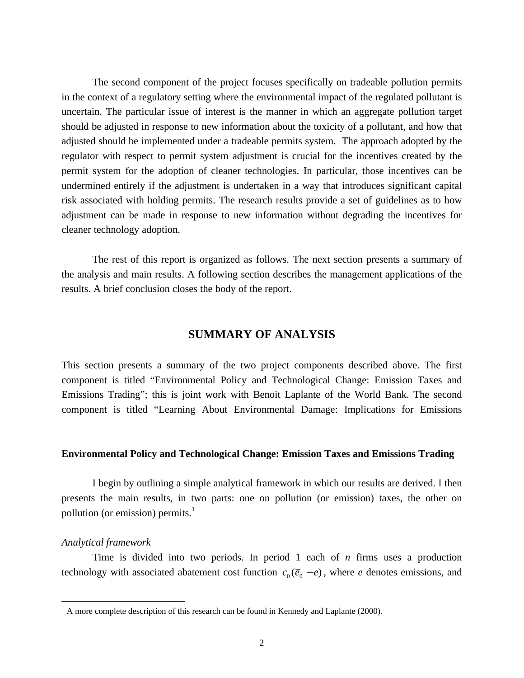The second component of the project focuses specifically on tradeable pollution permits in the context of a regulatory setting where the environmental impact of the regulated pollutant is uncertain. The particular issue of interest is the manner in which an aggregate pollution target should be adjusted in response to new information about the toxicity of a pollutant, and how that adjusted should be implemented under a tradeable permits system. The approach adopted by the regulator with respect to permit system adjustment is crucial for the incentives created by the permit system for the adoption of cleaner technologies. In particular, those incentives can be undermined entirely if the adjustment is undertaken in a way that introduces significant capital risk associated with holding permits. The research results provide a set of guidelines as to how adjustment can be made in response to new information without degrading the incentives for cleaner technology adoption.

The rest of this report is organized as follows. The next section presents a summary of the analysis and main results. A following section describes the management applications of the results. A brief conclusion closes the body of the report.

# **SUMMARY OF ANALYSIS**

This section presents a summary of the two project components described above. The first component is titled "Environmental Policy and Technological Change: Emission Taxes and Emissions Trading"; this is joint work with Benoit Laplante of the World Bank. The second component is titled "Learning About Environmental Damage: Implications for Emissions

#### **Environmental Policy and Technological Change: Emission Taxes and Emissions Trading**

I begin by outlining a simple analytical framework in which our results are derived. I then presents the main results, in two parts: one on pollution (or emission) taxes, the other on pollution (or emission) permits.<sup>1</sup>

## *Analytical framework*

 $\overline{a}$ 

Time is divided into two periods. In period 1 each of *n* firms uses a production technology with associated abatement cost function  $c_0(\overline{e}_0 - e)$ , where *e* denotes emissions, and

 $<sup>1</sup>$  A more complete description of this research can be found in Kennedy and Laplante (2000).</sup>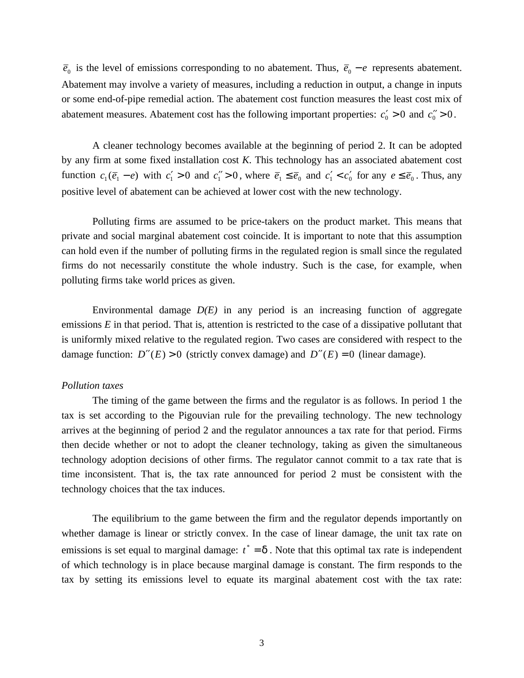$\bar{e}_0$  is the level of emissions corresponding to no abatement. Thus,  $\bar{e}_0 - e$  represents abatement. Abatement may involve a variety of measures, including a reduction in output, a change in inputs or some end-of-pipe remedial action. The abatement cost function measures the least cost mix of abatement measures. Abatement cost has the following important properties:  $c_0' > 0$  and  $c_0'' > 0$ .

A cleaner technology becomes available at the beginning of period 2. It can be adopted by any firm at some fixed installation cost *K*. This technology has an associated abatement cost function  $c_1(\overline{e}_1 - e)$  with  $c_1' > 0$  and  $c_1'' > 0$ , where  $\overline{e}_1 \le \overline{e}_0$  and  $c_1' < c_0'$  for any  $e \le \overline{e}_0$ . Thus, any positive level of abatement can be achieved at lower cost with the new technology.

Polluting firms are assumed to be price-takers on the product market. This means that private and social marginal abatement cost coincide. It is important to note that this assumption can hold even if the number of polluting firms in the regulated region is small since the regulated firms do not necessarily constitute the whole industry. Such is the case, for example, when polluting firms take world prices as given.

Environmental damage *D(E)* in any period is an increasing function of aggregate emissions *E* in that period. That is, attention is restricted to the case of a dissipative pollutant that is uniformly mixed relative to the regulated region. Two cases are considered with respect to the damage function:  $D''(E) > 0$  (strictly convex damage) and  $D''(E) = 0$  (linear damage).

## *Pollution taxes*

The timing of the game between the firms and the regulator is as follows. In period 1 the tax is set according to the Pigouvian rule for the prevailing technology. The new technology arrives at the beginning of period 2 and the regulator announces a tax rate for that period. Firms then decide whether or not to adopt the cleaner technology, taking as given the simultaneous technology adoption decisions of other firms. The regulator cannot commit to a tax rate that is time inconsistent. That is, the tax rate announced for period 2 must be consistent with the technology choices that the tax induces.

The equilibrium to the game between the firm and the regulator depends importantly on whether damage is linear or strictly convex. In the case of linear damage, the unit tax rate on emissions is set equal to marginal damage:  $t^* = d$ . Note that this optimal tax rate is independent of which technology is in place because marginal damage is constant. The firm responds to the tax by setting its emissions level to equate its marginal abatement cost with the tax rate: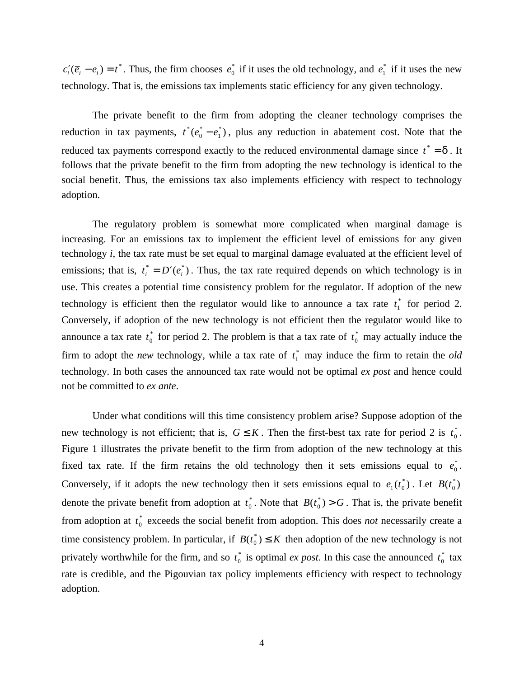$c'_i(\overline{e}_i - e_i) = t^*$ . Thus, the firm chooses  $e_0^*$  if it uses the old technology, and  $e_1^*$  if it uses the new technology. That is, the emissions tax implements static efficiency for any given technology.

The private benefit to the firm from adopting the cleaner technology comprises the reduction in tax payments,  $t^*(e_0^* - e_1^*)$ , plus any reduction in abatement cost. Note that the reduced tax payments correspond exactly to the reduced environmental damage since  $t^* = d$ . It follows that the private benefit to the firm from adopting the new technology is identical to the social benefit. Thus, the emissions tax also implements efficiency with respect to technology adoption.

The regulatory problem is somewhat more complicated when marginal damage is increasing. For an emissions tax to implement the efficient level of emissions for any given technology *i*, the tax rate must be set equal to marginal damage evaluated at the efficient level of emissions; that is,  $t_i^* = D'(e_i^*)$ . Thus, the tax rate required depends on which technology is in use. This creates a potential time consistency problem for the regulator. If adoption of the new technology is efficient then the regulator would like to announce a tax rate *t* 1  $_{1}^{*}$  for period 2. Conversely, if adoption of the new technology is not efficient then the regulator would like to announce a tax rate  $t_0^*$  $_0^*$  for period 2. The problem is that a tax rate of  $t_0^*$  $_{0}^{*}$  may actually induce the firm to adopt the *new* technology, while a tax rate of *t* 1  $\frac{1}{1}$  may induce the firm to retain the *old* technology. In both cases the announced tax rate would not be optimal *ex post* and hence could not be committed to *ex ante*.

Under what conditions will this time consistency problem arise? Suppose adoption of the new technology is not efficient; that is,  $G \leq K$ . Then the first-best tax rate for period 2 is  $t_0^*$ \* . Figure 1 illustrates the private benefit to the firm from adoption of the new technology at this fixed tax rate. If the firm retains the old technology then it sets emissions equal to  $e_0^*$ . Conversely, if it adopts the new technology then it sets emissions equal to  $e_1(t_0^*)$ . Let  $B(t_0^*)$ 0 denote the private benefit from adoption at  $t_0^*$  $^*_{0}$ . Note that  $B(t_0^*) > G$ . That is, the private benefit from adoption at  $t_0^*$  $\frac{1}{2}$  exceeds the social benefit from adoption. This does *not* necessarily create a time consistency problem. In particular, if  $B(t_0^*) \leq K$  then adoption of the new technology is not privately worthwhile for the firm, and so  $t_0^*$  $\frac{1}{2}$  is optimal *ex post*. In this case the announced  $t_0^*$  $\int_{0}^{\ast}$  tax rate is credible, and the Pigouvian tax policy implements efficiency with respect to technology adoption.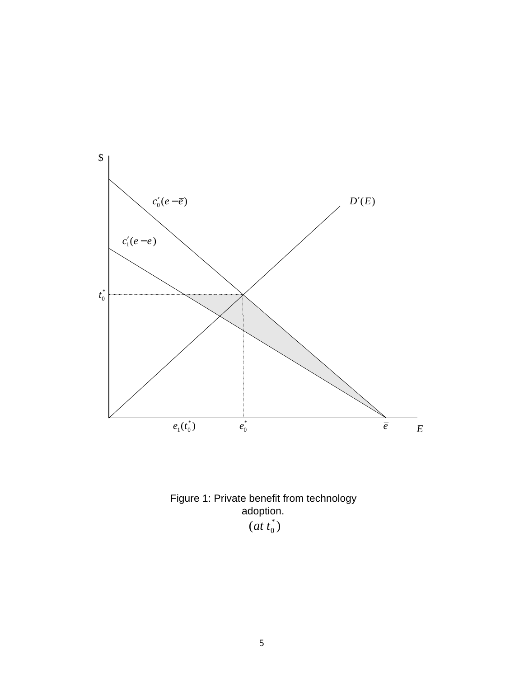

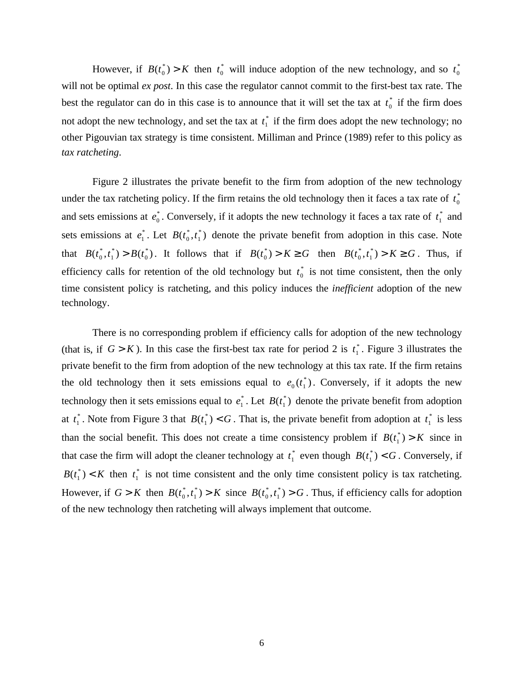However, if  $B(t_0^*) > K$  then  $t_0^*$  $_{0}^{*}$  will induce adoption of the new technology, and so  $t_{0}^{*}$ \* will not be optimal *ex post*. In this case the regulator cannot commit to the first-best tax rate. The best the regulator can do in this case is to announce that it will set the tax at  $t_0^*$  $_{0}^*$  if the firm does not adopt the new technology, and set the tax at *t* 1  $i$  if the firm does adopt the new technology; no other Pigouvian tax strategy is time consistent. Milliman and Prince (1989) refer to this policy as *tax ratcheting*.

Figure 2 illustrates the private benefit to the firm from adoption of the new technology under the tax ratcheting policy. If the firm retains the old technology then it faces a tax rate of  $t_0^*$ \* and sets emissions at  $e_0^*$ . Conversely, if it adopts the new technology it faces a tax rate of  $t_1^*$  $i$ <sub>n</sub> and sets emissions at  $e_1^*$ . Let  $B(t_0^*, t_1^*)$  $\phi_0^*, t_1^*$ ) denote the private benefit from adoption in this case. Note that  $B(t_0^*, t_1^*) > B(t_0^*)$ . It follows that if  $B(t_0^*) > K \ge G$  then  $B(t_0^*, t_1^*) > K \ge G$ . Thus, if efficiency calls for retention of the old technology but  $t_0^*$  $_{0}^{*}$  is not time consistent, then the only time consistent policy is ratcheting, and this policy induces the *inefficient* adoption of the new technology.

There is no corresponding problem if efficiency calls for adoption of the new technology (that is, if  $G > K$ ). In this case the first-best tax rate for period 2 is  $t_1^*$  $_{1}^*$ . Figure 3 illustrates the private benefit to the firm from adoption of the new technology at this tax rate. If the firm retains the old technology then it sets emissions equal to  $e_0(t_1^*)$ . Conversely, if it adopts the new technology then it sets emissions equal to  $e_1^*$ . Let  $B(t_1^*)$  $i<sub>1</sub>$ ) denote the private benefit from adoption at  $t_1^*$ \* Note from Figure 3 that  $B(t_1^*) < G$ . That is, the private benefit from adoption at  $t_1^*$  $\frac{1}{1}$  is less than the social benefit. This does not create a time consistency problem if  $B(t_1^*) > K$  since in that case the firm will adopt the cleaner technology at *t* 1  $_1^*$  even though  $B(t_1^*) < G$ . Conversely, if  $B(t_1^*) < K$  then  $t_1^*$  $_{1}^{*}$  is not time consistent and the only time consistent policy is tax ratcheting. However, if  $G > K$  then  $B(t_0^*, t_1^*) > K$  since  $B(t_0^*, t_1^*) > G$ . Thus, if efficiency calls for adoption of the new technology then ratcheting will always implement that outcome.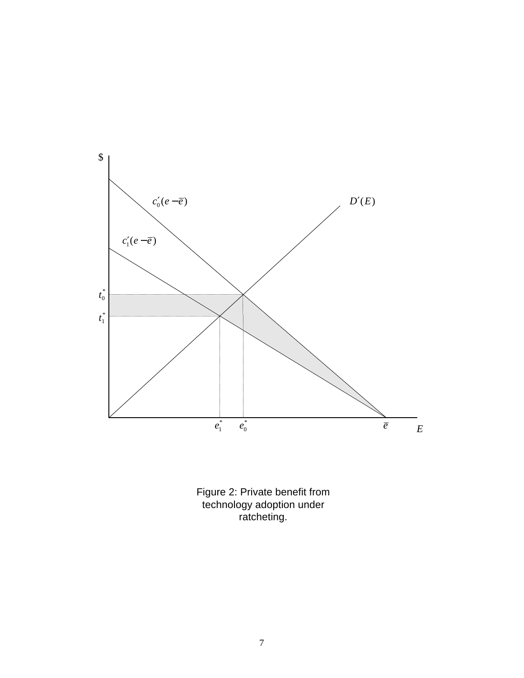

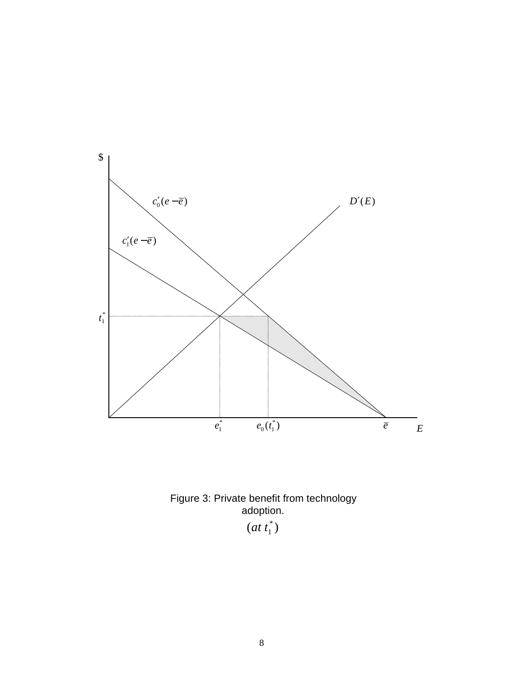



 $(at t_1^*)$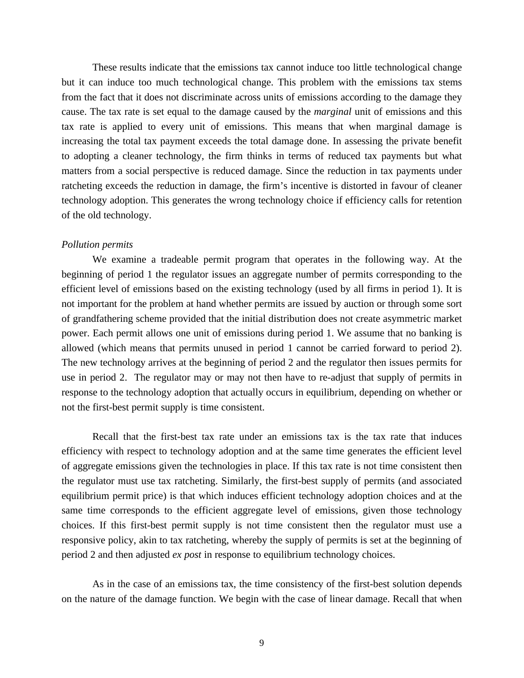These results indicate that the emissions tax cannot induce too little technological change but it can induce too much technological change. This problem with the emissions tax stems from the fact that it does not discriminate across units of emissions according to the damage they cause. The tax rate is set equal to the damage caused by the *marginal* unit of emissions and this tax rate is applied to every unit of emissions. This means that when marginal damage is increasing the total tax payment exceeds the total damage done. In assessing the private benefit to adopting a cleaner technology, the firm thinks in terms of reduced tax payments but what matters from a social perspective is reduced damage. Since the reduction in tax payments under ratcheting exceeds the reduction in damage, the firm's incentive is distorted in favour of cleaner technology adoption. This generates the wrong technology choice if efficiency calls for retention of the old technology.

#### *Pollution permits*

We examine a tradeable permit program that operates in the following way. At the beginning of period 1 the regulator issues an aggregate number of permits corresponding to the efficient level of emissions based on the existing technology (used by all firms in period 1). It is not important for the problem at hand whether permits are issued by auction or through some sort of grandfathering scheme provided that the initial distribution does not create asymmetric market power. Each permit allows one unit of emissions during period 1. We assume that no banking is allowed (which means that permits unused in period 1 cannot be carried forward to period 2). The new technology arrives at the beginning of period 2 and the regulator then issues permits for use in period 2. The regulator may or may not then have to re-adjust that supply of permits in response to the technology adoption that actually occurs in equilibrium, depending on whether or not the first-best permit supply is time consistent.

Recall that the first-best tax rate under an emissions tax is the tax rate that induces efficiency with respect to technology adoption and at the same time generates the efficient level of aggregate emissions given the technologies in place. If this tax rate is not time consistent then the regulator must use tax ratcheting. Similarly, the first-best supply of permits (and associated equilibrium permit price) is that which induces efficient technology adoption choices and at the same time corresponds to the efficient aggregate level of emissions, given those technology choices. If this first-best permit supply is not time consistent then the regulator must use a responsive policy, akin to tax ratcheting, whereby the supply of permits is set at the beginning of period 2 and then adjusted *ex post* in response to equilibrium technology choices.

As in the case of an emissions tax, the time consistency of the first-best solution depends on the nature of the damage function. We begin with the case of linear damage. Recall that when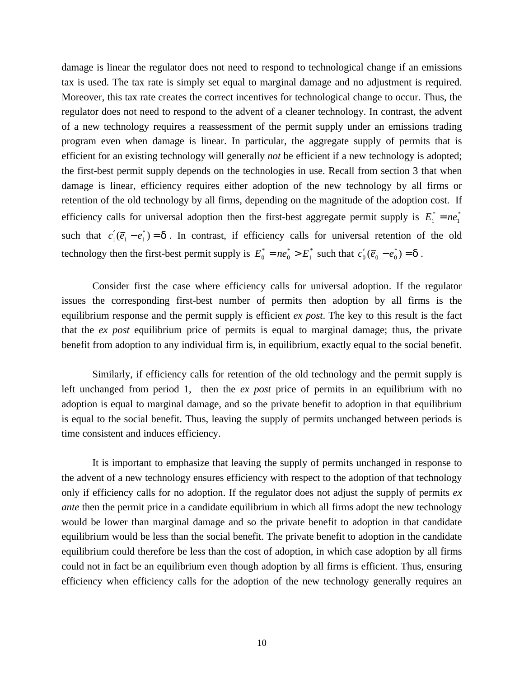damage is linear the regulator does not need to respond to technological change if an emissions tax is used. The tax rate is simply set equal to marginal damage and no adjustment is required. Moreover, this tax rate creates the correct incentives for technological change to occur. Thus, the regulator does not need to respond to the advent of a cleaner technology. In contrast, the advent of a new technology requires a reassessment of the permit supply under an emissions trading program even when damage is linear. In particular, the aggregate supply of permits that is efficient for an existing technology will generally *not* be efficient if a new technology is adopted; the first-best permit supply depends on the technologies in use. Recall from section 3 that when damage is linear, efficiency requires either adoption of the new technology by all firms or retention of the old technology by all firms, depending on the magnitude of the adoption cost. If efficiency calls for universal adoption then the first-best aggregate permit supply is  $E_1^* = ne_1^*$  $E_1^* = ne$ such that  $c'_1(\overline{e}_1 - e_1^*) = d$  $c'_1(\overline{e}_1 - e_1^*) = d$ . In contrast, if efficiency calls for universal retention of the old technology then the first-best permit supply is  $E_0^* = ne_0^* > E_1^*$ \*  $E_0^* = n e_0^* > E_1^*$  such that  $c'_0(\overline{e}_0 - e_0^*) = d$  $c'_0(\bar{e}_0 - e_0^*) = d$ .

Consider first the case where efficiency calls for universal adoption. If the regulator issues the corresponding first-best number of permits then adoption by all firms is the equilibrium response and the permit supply is efficient *ex post*. The key to this result is the fact that the *ex post* equilibrium price of permits is equal to marginal damage; thus, the private benefit from adoption to any individual firm is, in equilibrium, exactly equal to the social benefit.

Similarly, if efficiency calls for retention of the old technology and the permit supply is left unchanged from period 1, then the *ex post* price of permits in an equilibrium with no adoption is equal to marginal damage, and so the private benefit to adoption in that equilibrium is equal to the social benefit. Thus, leaving the supply of permits unchanged between periods is time consistent and induces efficiency.

It is important to emphasize that leaving the supply of permits unchanged in response to the advent of a new technology ensures efficiency with respect to the adoption of that technology only if efficiency calls for no adoption. If the regulator does not adjust the supply of permits *ex ante* then the permit price in a candidate equilibrium in which all firms adopt the new technology would be lower than marginal damage and so the private benefit to adoption in that candidate equilibrium would be less than the social benefit. The private benefit to adoption in the candidate equilibrium could therefore be less than the cost of adoption, in which case adoption by all firms could not in fact be an equilibrium even though adoption by all firms is efficient. Thus, ensuring efficiency when efficiency calls for the adoption of the new technology generally requires an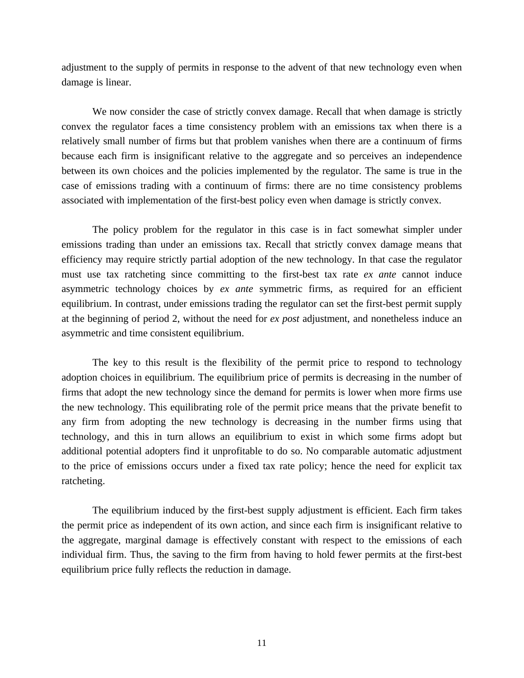adjustment to the supply of permits in response to the advent of that new technology even when damage is linear.

We now consider the case of strictly convex damage. Recall that when damage is strictly convex the regulator faces a time consistency problem with an emissions tax when there is a relatively small number of firms but that problem vanishes when there are a continuum of firms because each firm is insignificant relative to the aggregate and so perceives an independence between its own choices and the policies implemented by the regulator. The same is true in the case of emissions trading with a continuum of firms: there are no time consistency problems associated with implementation of the first-best policy even when damage is strictly convex.

The policy problem for the regulator in this case is in fact somewhat simpler under emissions trading than under an emissions tax. Recall that strictly convex damage means that efficiency may require strictly partial adoption of the new technology. In that case the regulator must use tax ratcheting since committing to the first-best tax rate *ex ante* cannot induce asymmetric technology choices by *ex ante* symmetric firms, as required for an efficient equilibrium. In contrast, under emissions trading the regulator can set the first-best permit supply at the beginning of period 2, without the need for *ex post* adjustment, and nonetheless induce an asymmetric and time consistent equilibrium.

The key to this result is the flexibility of the permit price to respond to technology adoption choices in equilibrium. The equilibrium price of permits is decreasing in the number of firms that adopt the new technology since the demand for permits is lower when more firms use the new technology. This equilibrating role of the permit price means that the private benefit to any firm from adopting the new technology is decreasing in the number firms using that technology, and this in turn allows an equilibrium to exist in which some firms adopt but additional potential adopters find it unprofitable to do so. No comparable automatic adjustment to the price of emissions occurs under a fixed tax rate policy; hence the need for explicit tax ratcheting.

The equilibrium induced by the first-best supply adjustment is efficient. Each firm takes the permit price as independent of its own action, and since each firm is insignificant relative to the aggregate, marginal damage is effectively constant with respect to the emissions of each individual firm. Thus, the saving to the firm from having to hold fewer permits at the first-best equilibrium price fully reflects the reduction in damage.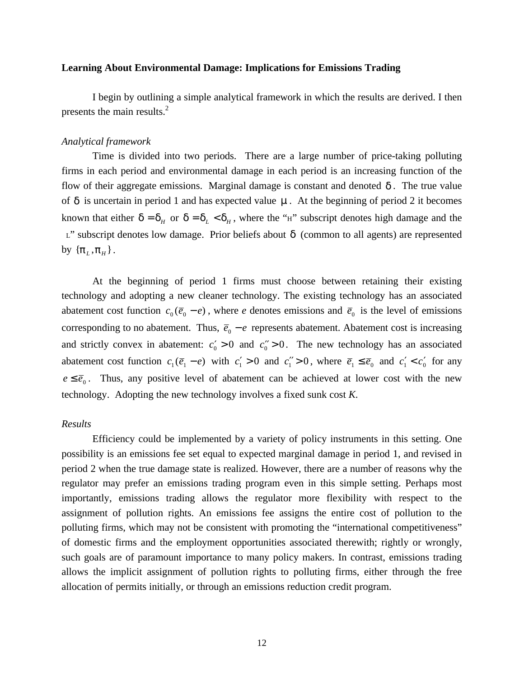#### **Learning About Environmental Damage: Implications for Emissions Trading**

I begin by outlining a simple analytical framework in which the results are derived. I then presents the main results.<sup>2</sup>

#### *Analytical framework*

Time is divided into two periods. There are a large number of price-taking polluting firms in each period and environmental damage in each period is an increasing function of the flow of their aggregate emissions. Marginal damage is constant and denoted *d* . The true value of *d* is uncertain in period 1 and has expected value *m* . At the beginning of period 2 it becomes known that either  $d = d_H$  or  $d = d_L < d_H$ , where the "H" subscript denotes high damage and the <sup>L</sup>" subscript denotes low damage. Prior beliefs about *d* (common to all agents) are represented by  $\{ \bm{p}_L^{}, \bm{p}_H^{}\}$ .

At the beginning of period 1 firms must choose between retaining their existing technology and adopting a new cleaner technology. The existing technology has an associated abatement cost function  $c_0(\bar{e}_0 - e)$ , where *e* denotes emissions and  $\bar{e}_0$  is the level of emissions corresponding to no abatement. Thus,  $\bar{e}_0 - e$  represents abatement. Abatement cost is increasing and strictly convex in abatement:  $c_0' > 0$  and  $c_0'' > 0$ . The new technology has an associated abatement cost function  $c_1(\bar{e}_1 - e)$  with  $c_1' > 0$  and  $c_1'' > 0$ , where  $\bar{e}_1 \le \bar{e}_0$  and  $c_1' < c_0'$  for any  $e \leq \overline{e}_0$ . Thus, any positive level of abatement can be achieved at lower cost with the new technology. Adopting the new technology involves a fixed sunk cost *K*.

#### *Results*

Efficiency could be implemented by a variety of policy instruments in this setting. One possibility is an emissions fee set equal to expected marginal damage in period 1, and revised in period 2 when the true damage state is realized. However, there are a number of reasons why the regulator may prefer an emissions trading program even in this simple setting. Perhaps most importantly, emissions trading allows the regulator more flexibility with respect to the assignment of pollution rights. An emissions fee assigns the entire cost of pollution to the polluting firms, which may not be consistent with promoting the "international competitiveness" of domestic firms and the employment opportunities associated therewith; rightly or wrongly, such goals are of paramount importance to many policy makers. In contrast, emissions trading allows the implicit assignment of pollution rights to polluting firms, either through the free allocation of permits initially, or through an emissions reduction credit program.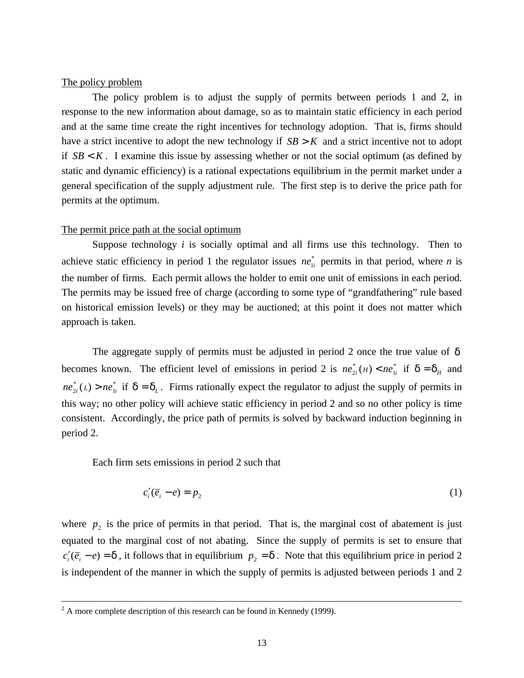### The policy problem

The policy problem is to adjust the supply of permits between periods 1 and 2, in response to the new information about damage, so as to maintain static efficiency in each period and at the same time create the right incentives for technology adoption. That is, firms should have a strict incentive to adopt the new technology if  $SB > K$  and a strict incentive not to adopt if  $SB < K$ . I examine this issue by assessing whether or not the social optimum (as defined by static and dynamic efficiency) is a rational expectations equilibrium in the permit market under a general specification of the supply adjustment rule. The first step is to derive the price path for permits at the optimum.

#### The permit price path at the social optimum

Suppose technology *i* is socially optimal and all firms use this technology. Then to achieve static efficiency in period 1 the regulator issues  $ne_{1i}^*$  permits in that period, where *n* is the number of firms. Each permit allows the holder to emit one unit of emissions in each period. The permits may be issued free of charge (according to some type of "grandfathering" rule based on historical emission levels) or they may be auctioned; at this point it does not matter which approach is taken.

The aggregate supply of permits must be adjusted in period 2 once the true value of *d* becomes known. The efficient level of emissions in period 2 is  $ne_{i}^{*}(H) < ne_{1i}^{*}$  if  $d = d_H$  and  $ne_{2i}^*(L) > ne_{1i}^*$  if  $d = d_L$ . Firms rationally expect the regulator to adjust the supply of permits in this way; no other policy will achieve static efficiency in period 2 and so no other policy is time consistent. Accordingly, the price path of permits is solved by backward induction beginning in period 2.

Each firm sets emissions in period 2 such that

$$
c_i'(\overline{e}_i - e) = p_2 \tag{1}
$$

where  $p_2$  is the price of permits in that period. That is, the marginal cost of abatement is just equated to the marginal cost of not abating. Since the supply of permits is set to ensure that  $c_i'(\overline{e}_i - e) = \mathbf{d}$ , it follows that in equilibrium  $p_2 = \mathbf{d}$ . Note that this equilibrium price in period 2 is independent of the manner in which the supply of permits is adjusted between periods 1 and 2

 $2^2$  A more complete description of this research can be found in Kennedy (1999).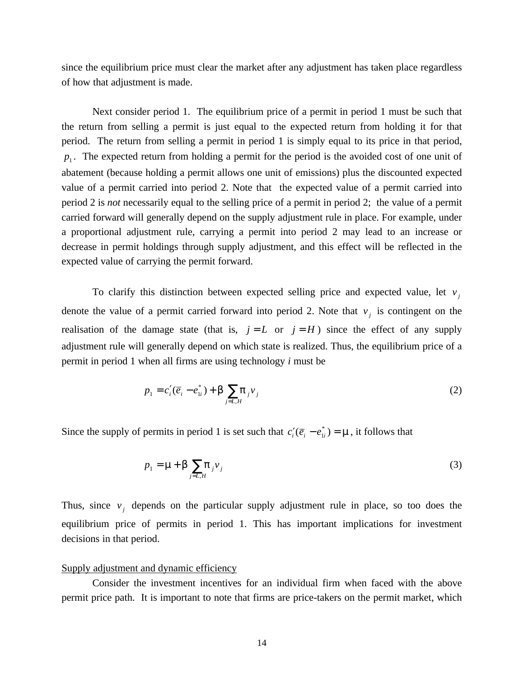since the equilibrium price must clear the market after any adjustment has taken place regardless of how that adjustment is made.

Next consider period 1. The equilibrium price of a permit in period 1 must be such that the return from selling a permit is just equal to the expected return from holding it for that period. The return from selling a permit in period 1 is simply equal to its price in that period, *p*1 . The expected return from holding a permit for the period is the avoided cost of one unit of abatement (because holding a permit allows one unit of emissions) plus the discounted expected value of a permit carried into period 2. Note that the expected value of a permit carried into period 2 is *not* necessarily equal to the selling price of a permit in period 2; the value of a permit carried forward will generally depend on the supply adjustment rule in place. For example, under a proportional adjustment rule, carrying a permit into period 2 may lead to an increase or decrease in permit holdings through supply adjustment, and this effect will be reflected in the expected value of carrying the permit forward.

To clarify this distinction between expected selling price and expected value, let  $v_j$ denote the value of a permit carried forward into period 2. Note that  $v_j$  is contingent on the realisation of the damage state (that is,  $j = L$  or  $j = H$ ) since the effect of any supply adjustment rule will generally depend on which state is realized. Thus, the equilibrium price of a permit in period 1 when all firms are using technology *i* must be

$$
p_1 = c_i'(\overline{e}_i - e_{1i}^*) + \mathbf{b} \sum_{j=L,H} \mathbf{p}_j v_j \tag{2}
$$

Since the supply of permits in period 1 is set such that  $c_i'(\overline{e}_i - e_{1i}^*) = \mathbf{m}$ , it follows that

$$
p_1 = \mathbf{m} + \mathbf{b} \sum_{j=L,H} \mathbf{p}_j v_j \tag{3}
$$

Thus, since  $v_j$  depends on the particular supply adjustment rule in place, so too does the equilibrium price of permits in period 1. This has important implications for investment decisions in that period.

#### Supply adjustment and dynamic efficiency

Consider the investment incentives for an individual firm when faced with the above permit price path. It is important to note that firms are price-takers on the permit market, which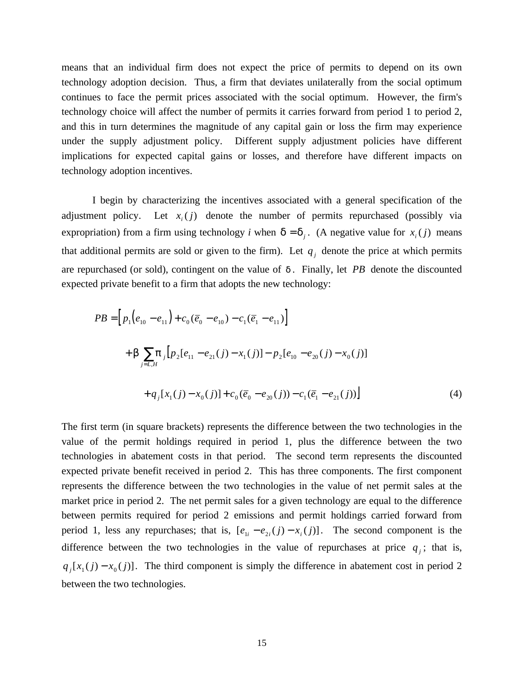means that an individual firm does not expect the price of permits to depend on its own technology adoption decision. Thus, a firm that deviates unilaterally from the social optimum continues to face the permit prices associated with the social optimum. However, the firm's technology choice will affect the number of permits it carries forward from period 1 to period 2, and this in turn determines the magnitude of any capital gain or loss the firm may experience under the supply adjustment policy. Different supply adjustment policies have different implications for expected capital gains or losses, and therefore have different impacts on technology adoption incentives.

I begin by characterizing the incentives associated with a general specification of the adjustment policy. Let  $x_i(j)$  denote the number of permits repurchased (possibly via expropriation) from a firm using technology *i* when  $\mathbf{d} = \mathbf{d}_j$ . (A negative value for  $x_i(j)$  means that additional permits are sold or given to the firm). Let  $q_i$  denote the price at which permits are repurchased (or sold), contingent on the value of *d* . Finally, let *PB* denote the discounted expected private benefit to a firm that adopts the new technology:

$$
PB = [p_1(e_{10} - e_{11}) + c_0(\overline{e}_0 - e_{10}) - c_1(\overline{e}_1 - e_{11})]
$$
  
+  $\boldsymbol{b} \sum_{j=L,H} \boldsymbol{p}_j [p_2[e_{11} - e_{21}(j) - x_1(j)] - p_2[e_{10} - e_{20}(j) - x_0(j)]$   
+  $q_j [x_1(j) - x_0(j)] + c_0(\overline{e}_0 - e_{20}(j)) - c_1(\overline{e}_1 - e_{21}(j))]$  (4)

The first term (in square brackets) represents the difference between the two technologies in the value of the permit holdings required in period 1, plus the difference between the two technologies in abatement costs in that period. The second term represents the discounted expected private benefit received in period 2. This has three components. The first component represents the difference between the two technologies in the value of net permit sales at the market price in period 2. The net permit sales for a given technology are equal to the difference between permits required for period 2 emissions and permit holdings carried forward from period 1, less any repurchases; that is,  $[e_{1i} - e_{2i}(j) - x_{i}(j)]$ . The second component is the difference between the two technologies in the value of repurchases at price  $q_i$ ; that is,  $q_j[x_j(j) - x_0(j)]$ . The third component is simply the difference in abatement cost in period 2 between the two technologies.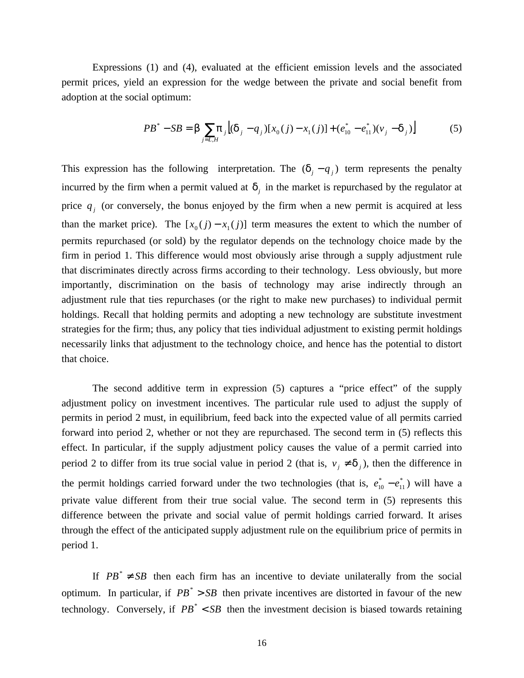Expressions (1) and (4), evaluated at the efficient emission levels and the associated permit prices, yield an expression for the wedge between the private and social benefit from adoption at the social optimum:

$$
PB^* - SB = \mathbf{b} \sum_{j=L,H} \mathbf{p}_j \left[ (\mathbf{d}_j - q_j) [x_0(j) - x_1(j)] + (e_{10}^* - e_{11}^*) (\mathbf{v}_j - \mathbf{d}_j) \right]
$$
(5)

This expression has the following interpretation. The  $(d_j - q_j)$  term represents the penalty incurred by the firm when a permit valued at  $d_i$  in the market is repurchased by the regulator at price  $q_j$  (or conversely, the bonus enjoyed by the firm when a new permit is acquired at less than the market price). The  $[x_0(j) - x_1(j)]$  term measures the extent to which the number of permits repurchased (or sold) by the regulator depends on the technology choice made by the firm in period 1. This difference would most obviously arise through a supply adjustment rule that discriminates directly across firms according to their technology. Less obviously, but more importantly, discrimination on the basis of technology may arise indirectly through an adjustment rule that ties repurchases (or the right to make new purchases) to individual permit holdings. Recall that holding permits and adopting a new technology are substitute investment strategies for the firm; thus, any policy that ties individual adjustment to existing permit holdings necessarily links that adjustment to the technology choice, and hence has the potential to distort that choice.

The second additive term in expression (5) captures a "price effect" of the supply adjustment policy on investment incentives. The particular rule used to adjust the supply of permits in period 2 must, in equilibrium, feed back into the expected value of all permits carried forward into period 2, whether or not they are repurchased. The second term in (5) reflects this effect. In particular, if the supply adjustment policy causes the value of a permit carried into period 2 to differ from its true social value in period 2 (that is,  $v_j \neq d_j$ ), then the difference in the permit holdings carried forward under the two technologies (that is,  $e_{10}^* - e_{11}^*$  $e_{10}^* - e_{11}^*$ ) will have a private value different from their true social value. The second term in (5) represents this difference between the private and social value of permit holdings carried forward. It arises through the effect of the anticipated supply adjustment rule on the equilibrium price of permits in period 1.

If  $PB^* \neq SB$  then each firm has an incentive to deviate unilaterally from the social optimum. In particular, if  $PB^* > SB$  then private incentives are distorted in favour of the new technology. Conversely, if  $PB^* < SB$  then the investment decision is biased towards retaining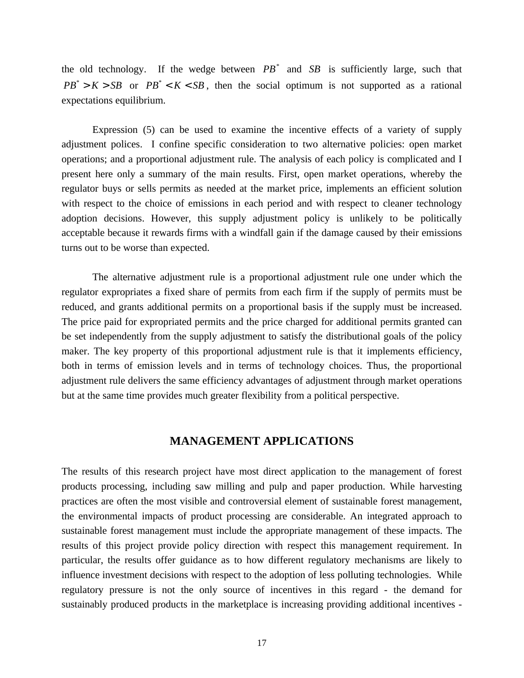the old technology. If the wedge between  $PB^*$  and  $SB$  is sufficiently large, such that  $PB^* > K > SB$  or  $PB^* < K < SB$ , then the social optimum is not supported as a rational expectations equilibrium.

Expression (5) can be used to examine the incentive effects of a variety of supply adjustment polices. I confine specific consideration to two alternative policies: open market operations; and a proportional adjustment rule. The analysis of each policy is complicated and I present here only a summary of the main results. First, open market operations, whereby the regulator buys or sells permits as needed at the market price, implements an efficient solution with respect to the choice of emissions in each period and with respect to cleaner technology adoption decisions. However, this supply adjustment policy is unlikely to be politically acceptable because it rewards firms with a windfall gain if the damage caused by their emissions turns out to be worse than expected.

The alternative adjustment rule is a proportional adjustment rule one under which the regulator expropriates a fixed share of permits from each firm if the supply of permits must be reduced, and grants additional permits on a proportional basis if the supply must be increased. The price paid for expropriated permits and the price charged for additional permits granted can be set independently from the supply adjustment to satisfy the distributional goals of the policy maker. The key property of this proportional adjustment rule is that it implements efficiency, both in terms of emission levels and in terms of technology choices. Thus, the proportional adjustment rule delivers the same efficiency advantages of adjustment through market operations but at the same time provides much greater flexibility from a political perspective.

## **MANAGEMENT APPLICATIONS**

The results of this research project have most direct application to the management of forest products processing, including saw milling and pulp and paper production. While harvesting practices are often the most visible and controversial element of sustainable forest management, the environmental impacts of product processing are considerable. An integrated approach to sustainable forest management must include the appropriate management of these impacts. The results of this project provide policy direction with respect this management requirement. In particular, the results offer guidance as to how different regulatory mechanisms are likely to influence investment decisions with respect to the adoption of less polluting technologies. While regulatory pressure is not the only source of incentives in this regard - the demand for sustainably produced products in the marketplace is increasing providing additional incentives -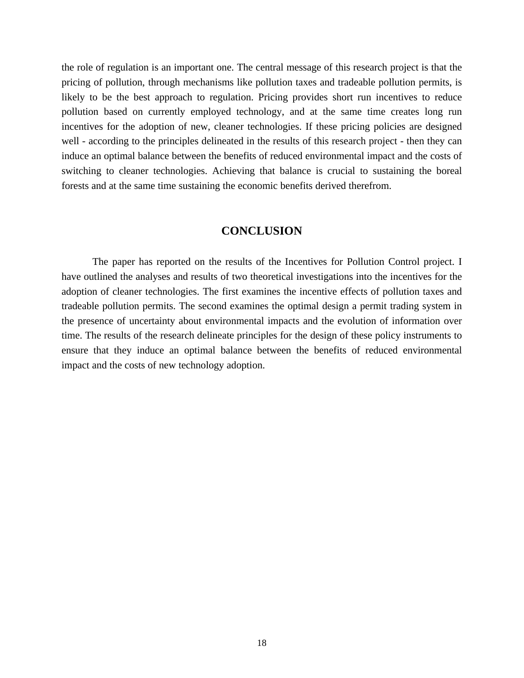the role of regulation is an important one. The central message of this research project is that the pricing of pollution, through mechanisms like pollution taxes and tradeable pollution permits, is likely to be the best approach to regulation. Pricing provides short run incentives to reduce pollution based on currently employed technology, and at the same time creates long run incentives for the adoption of new, cleaner technologies. If these pricing policies are designed well - according to the principles delineated in the results of this research project - then they can induce an optimal balance between the benefits of reduced environmental impact and the costs of switching to cleaner technologies. Achieving that balance is crucial to sustaining the boreal forests and at the same time sustaining the economic benefits derived therefrom.

# **CONCLUSION**

The paper has reported on the results of the Incentives for Pollution Control project. I have outlined the analyses and results of two theoretical investigations into the incentives for the adoption of cleaner technologies. The first examines the incentive effects of pollution taxes and tradeable pollution permits. The second examines the optimal design a permit trading system in the presence of uncertainty about environmental impacts and the evolution of information over time. The results of the research delineate principles for the design of these policy instruments to ensure that they induce an optimal balance between the benefits of reduced environmental impact and the costs of new technology adoption.